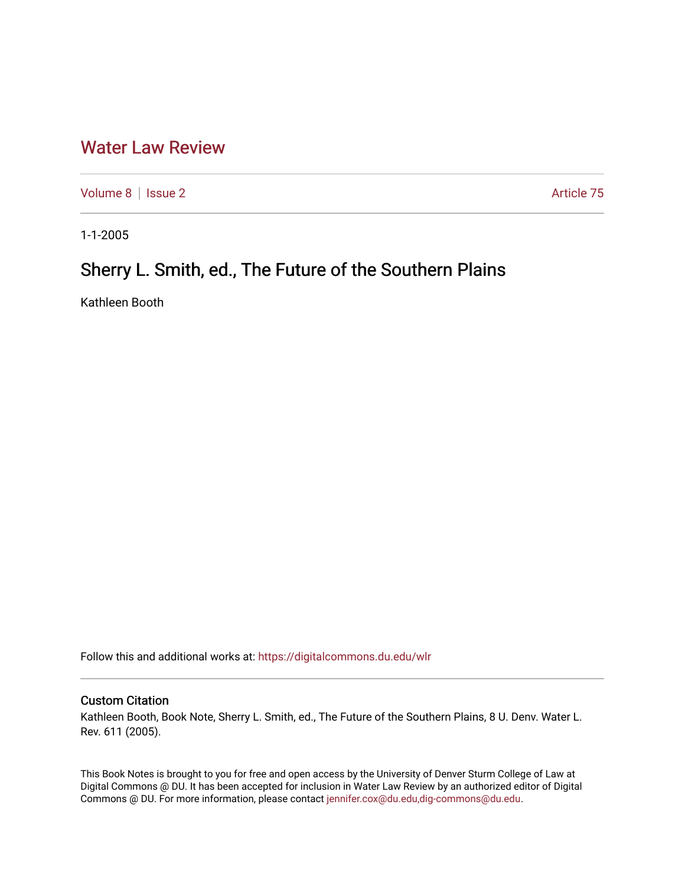## [Water Law Review](https://digitalcommons.du.edu/wlr)

[Volume 8](https://digitalcommons.du.edu/wlr/vol8) | [Issue 2](https://digitalcommons.du.edu/wlr/vol8/iss2) Article 75

1-1-2005

# Sherry L. Smith, ed., The Future of the Southern Plains

Kathleen Booth

Follow this and additional works at: [https://digitalcommons.du.edu/wlr](https://digitalcommons.du.edu/wlr?utm_source=digitalcommons.du.edu%2Fwlr%2Fvol8%2Fiss2%2F75&utm_medium=PDF&utm_campaign=PDFCoverPages) 

## Custom Citation

Kathleen Booth, Book Note, Sherry L. Smith, ed., The Future of the Southern Plains, 8 U. Denv. Water L. Rev. 611 (2005).

This Book Notes is brought to you for free and open access by the University of Denver Sturm College of Law at Digital Commons @ DU. It has been accepted for inclusion in Water Law Review by an authorized editor of Digital Commons @ DU. For more information, please contact [jennifer.cox@du.edu,dig-commons@du.edu.](mailto:jennifer.cox@du.edu,dig-commons@du.edu)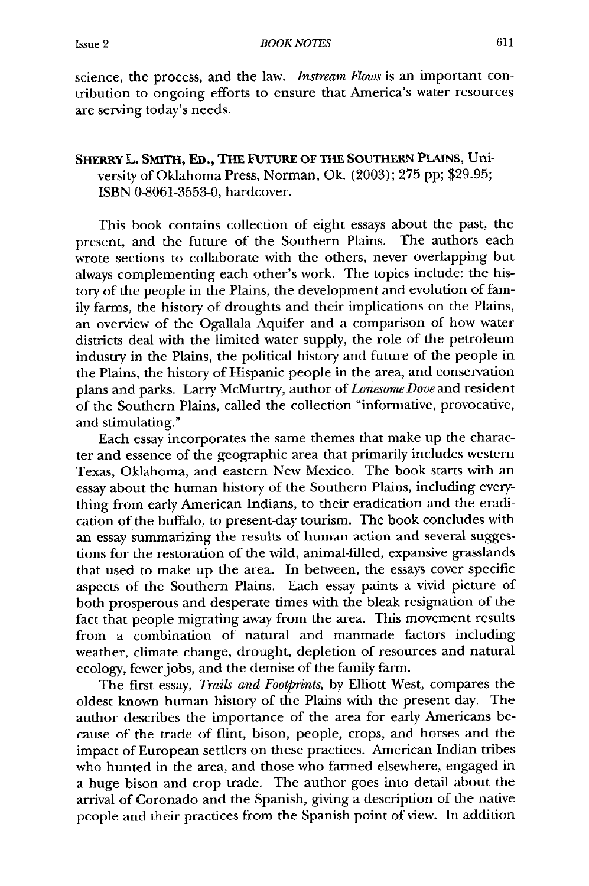science, the process, and the law. *Instream Flows* is an important contribution to ongoing efforts to ensure that America's water resources are serving today's needs.

### SHERRY L. **SMITH, ED., THE** FUTURE **OF THE SOUTHERN PLAINS,** University of Oklahoma Press, Norman, Ok. (2003); 275 pp; \$29.95; ISBN 0-8061-3553-0, hardcover.

This book contains collection of eight essays about the past, the sent, and the future of the Southern Plains. The authors each present, and the future of the Southern Plains. wrote sections to collaborate with the others, never overlapping but always complementing each other's work. The topics include: the history of the people in the Plains, the development and evolution of family farms, the history of droughts and their implications on the Plains, an overview of the Ogallala Aquifer and a comparison of how water districts deal with the limited water supply, the role of the petroleum industry in the Plains, the political history and future of the people in the Plains, the history of Hispanic people in the area, and conservation plans and parks. Larry McMurtry, author of *Lonesome Dove* and resident of the Southern Plains, called the collection "informative, provocative, and stimulating."

Each essay incorporates the same themes that make up the character and essence of the geographic area that primarily includes western Texas, Oklahoma, and eastern New Mexico. The book starts with an essay about the human history of the Southern Plains, including everything from early American Indians, to their eradication and the eradication of the buffalo, to present-day tourism. The book concludes with an essay summarizing the results of human action and several suggestions for the restoration of the wild, animal-filled, expansive grasslands that used to make up the area. In between, the essays cover specific aspects of the Southern Plains. Each essay paints a vivid picture of both prosperous and desperate times with the bleak resignation of the fact that people migrating away from the area. This movement results from a combination of natural and manmade factors including weather, climate change, drought, depletion of resources and natural ecology, fewerjobs, and the demise of the family farm.

The first essay, *Trails and Footprints,* by Elliott West, compares the oldest known human history of the Plains with the present day. The author describes the importance of the area for early Americans because of the trade of flint, bison, people, crops, and horses and the impact of European settlers on these practices. American Indian tribes who hunted in the area, and those who farmed elsewhere, engaged in a huge bison and crop trade. The author goes into detail about the arrival of Coronado and the Spanish, giving a description of the native people and their practices from the Spanish point of view. In addition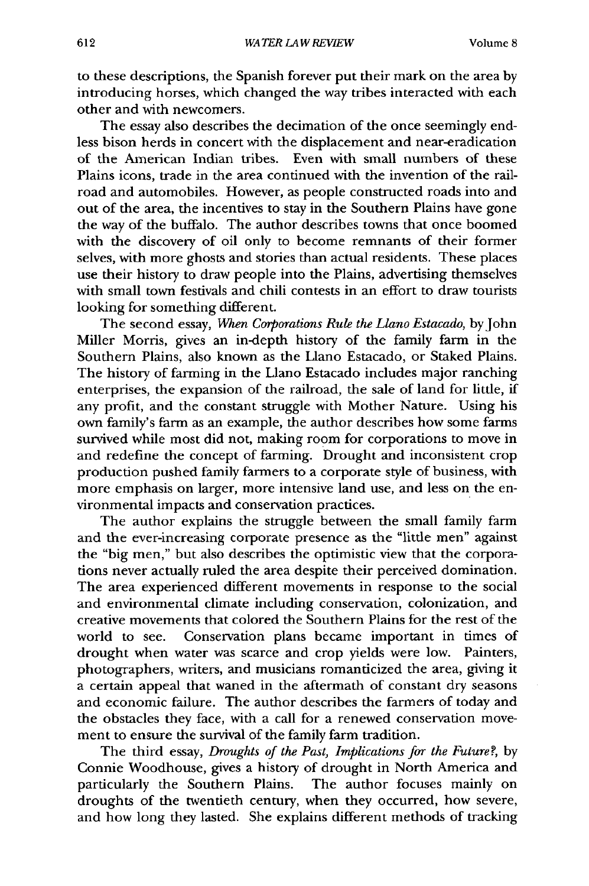to these descriptions, the Spanish forever put their mark on the area by introducing horses, which changed the way tribes interacted with each other and with newcomers.

The essay also describes the decimation of the once seemingly endless bison herds in concert with the displacement and near-eradication of the American Indian tribes. Even with small numbers of these Plains icons, trade in the area continued with the invention of the railroad and automobiles. However, as people constructed roads into and out of the area, the incentives to stay in the Southern Plains have gone the way of the buffalo. The author describes towns that once boomed with the discovery of oil only to become remnants of their former selves, with more ghosts and stories than actual residents. These places use their history to draw people into the Plains, advertising themselves with small town festivals and chili contests in an effort to draw tourists looking for something different.

The second essay, *When Corporations Rule the Llano Estacado,* by John Miller Morris, gives an in-depth history of the family farm in the Southern Plains, also known as the Llano Estacado, or Staked Plains. The history of farming in the Llano Estacado includes major ranching enterprises, the expansion of the railroad, the sale of land for little, if any profit, and the constant struggle with Mother Nature. Using his own family's farm as an example, the author describes how some farms survived while most did not, making room for corporations to move in and redefine the concept of farming. Drought and inconsistent crop production pushed family farmers to a corporate style of business, with more emphasis on larger, more intensive land use, and less on the environmental impacts and conservation practices.

The author explains the struggle between the small family farm and the ever-increasing corporate presence as the "little men" against the "big men," but also describes the optimistic view that the corporations never actually ruled the area despite their perceived domination. The area experienced different movements in response to the social and environmental climate including conservation, colonization, and creative movements that colored the Southern Plains for the rest of the world to see. Conservation plans became important in times of drought when water was scarce and crop yields were low. Painters, photographers, writers, and musicians romanticized the area, giving it a certain appeal that waned in the aftermath of constant dry seasons and economic failure. The author describes the farmers of today and the obstacles they face, with a call for a renewed conservation movement to ensure the survival of the family farm tradition.

The third essay, *Droughts of the Past, Implications for the Future?,* **by** Connie Woodhouse, gives a history of drought in North America and particularly the Southern Plains. The author focuses mainly on droughts of the twentieth century, when they occurred, how severe, and how long they lasted. She explains different methods of tracking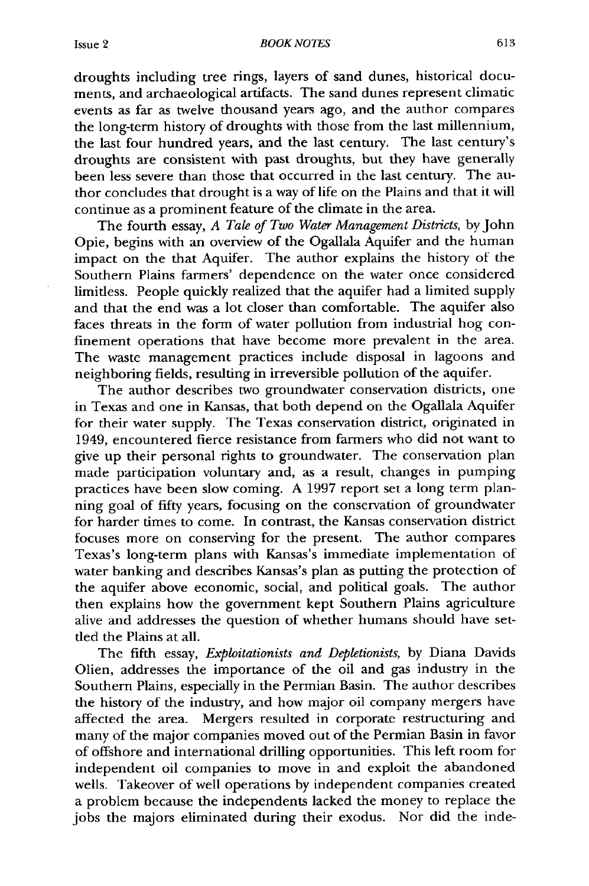droughts including tree rings, layers of sand dunes, historical documents, and archaeological artifacts. The sand dunes represent climatic events as far as twelve thousand years ago, and the author compares the long-term history of droughts with those from the last millennium, the last four hundred years, and the last century. The last century's droughts are consistent with past droughts, but they have generally been less severe than those that occurred in the last century. The author concludes that drought is a way of life on the Plains and that it will continue as a prominent feature of the climate in the area.

The fourth essay, *A Tale of Two Water Management Districts,* by John Opie, begins with an overview of the Ogallala Aquifer and the human impact on the that Aquifer. The author explains the history of the Southern Plains farmers' dependence on the water once considered limitless. People quickly realized that the aquifer had a limited supply and that the end was a lot closer than comfortable. The aquifer also faces threats in the form of water pollution from industrial hog confinement operations that have become more prevalent in the area. The waste management practices include disposal in lagoons and neighboring fields, resulting in irreversible pollution of the aquifer.

The author describes two groundwater conservation districts, one in Texas and one in Kansas, that both depend on the Ogallala Aquifer for their water supply. The Texas conservation district, originated in 1949, encountered fierce resistance from farmers who did not want to give up their personal rights to groundwater. The conservation plan made participation voluntary and, as a result, changes in pumping practices have been slow coming. A 1997 report set a long term planning goal of fifty years, focusing on the conservation of groundwater for harder times to come. In contrast, the Kansas conservation district focuses more on conserving for the present. The author compares Texas's long-term plans with Kansas's immediate implementation of water banking and describes Kansas's plan as putting the protection of the aquifer above economic, social, and political goals. The author then explains how the government kept Southern Plains agriculture alive and addresses the question of whether humans should have settled the Plains at all.

The fifth essay, *Exploitationists and Depletionists,* **by** Diana Davids Olien, addresses the importance of the oil and gas industry in the Southern Plains, especially in the Permian Basin. The author describes the history of the industry, and how major oil company mergers have affected the area. Mergers resulted in corporate restructuring and many of the major companies moved out of the Permian Basin in favor of offshore and international drilling opportunities. This left room for independent oil companies to move in and exploit the abandoned wells. Takeover of well operations by independent companies created a problem because the independents lacked the money to replace the jobs the majors eliminated during their exodus. Nor did the inde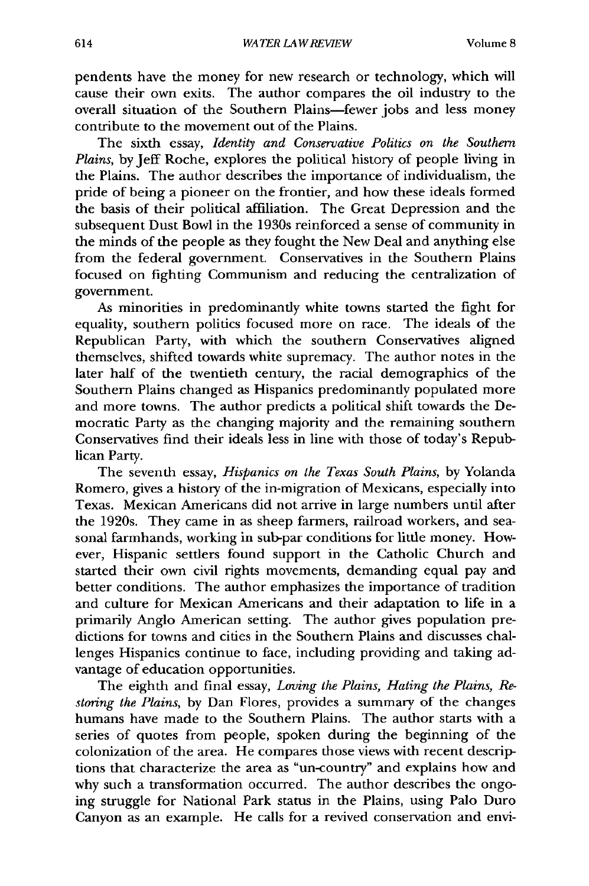pendents have the money for new research or technology, which will cause their own exits. The author compares the oil industry to the overall situation of the Southern Plains-fewer jobs and less money contribute to the movement out of the Plains.

The sixth essay, *Identity and Conservative Politics on the Southern Plains,* by Jeff Roche, explores the political history of people living in the Plains. The author describes the importance of individualism, the pride of being a pioneer on the frontier, and how these ideals formed the basis of their political affiliation. The Great Depression and the subsequent Dust Bowl in the 1930s reinforced a sense of community in the minds of the people as they fought the New Deal and anything else from the federal government. Conservatives in the Southern Plains focused on fighting Communism and reducing the centralization of government.

As minorities in predominantly white towns started the fight for equality, southern politics focused more on race. The ideals of the Republican Party, with which the southern Conservatives aligned themselves, shifted towards white supremacy. The author notes in the later half of the twentieth century, the racial demographics of the Southern Plains changed as Hispanics predominantly populated more and more towns. The author predicts a political shift towards the Democratic Party as the changing majority and the remaining southern Conservatives find their ideals less in line with those of today's Republican Party.

The seventh essay, *Hispanics on the Texas South Plains,* by Yolanda Romero, gives a history of the in-migration of Mexicans, especially into Texas. Mexican Americans did not arrive in large numbers until after the 1920s. They came in as sheep farmers, railroad workers, and seasonal farmhands, working in sub-par conditions for little money. However, Hispanic settlers found support in the Catholic Church and started their own civil rights movements, demanding equal pay and better conditions. The author emphasizes the importance of tradition and culture for Mexican Americans and their adaptation to life in a primarily Anglo American setting. The author gives population predictions for towns and cities in the Southern Plains and discusses challenges Hispanics continue to face, including providing and taking advantage of education opportunities.

The eighth and final essay, *Loving the Plains, Hating the Plains, Restoring the Plains,* by Dan Flores, provides a summary of the changes humans have made to the Southern Plains. The author starts with a series of quotes from people, spoken during the beginning of the colonization of the area. He compares those views with recent descriptions that characterize the area as "un-country" and explains how and why such a transformation occurred. The author describes the ongoing struggle for National Park status in the Plains, using Palo Duro Canyon as an example. He calls for a revived conservation and envi